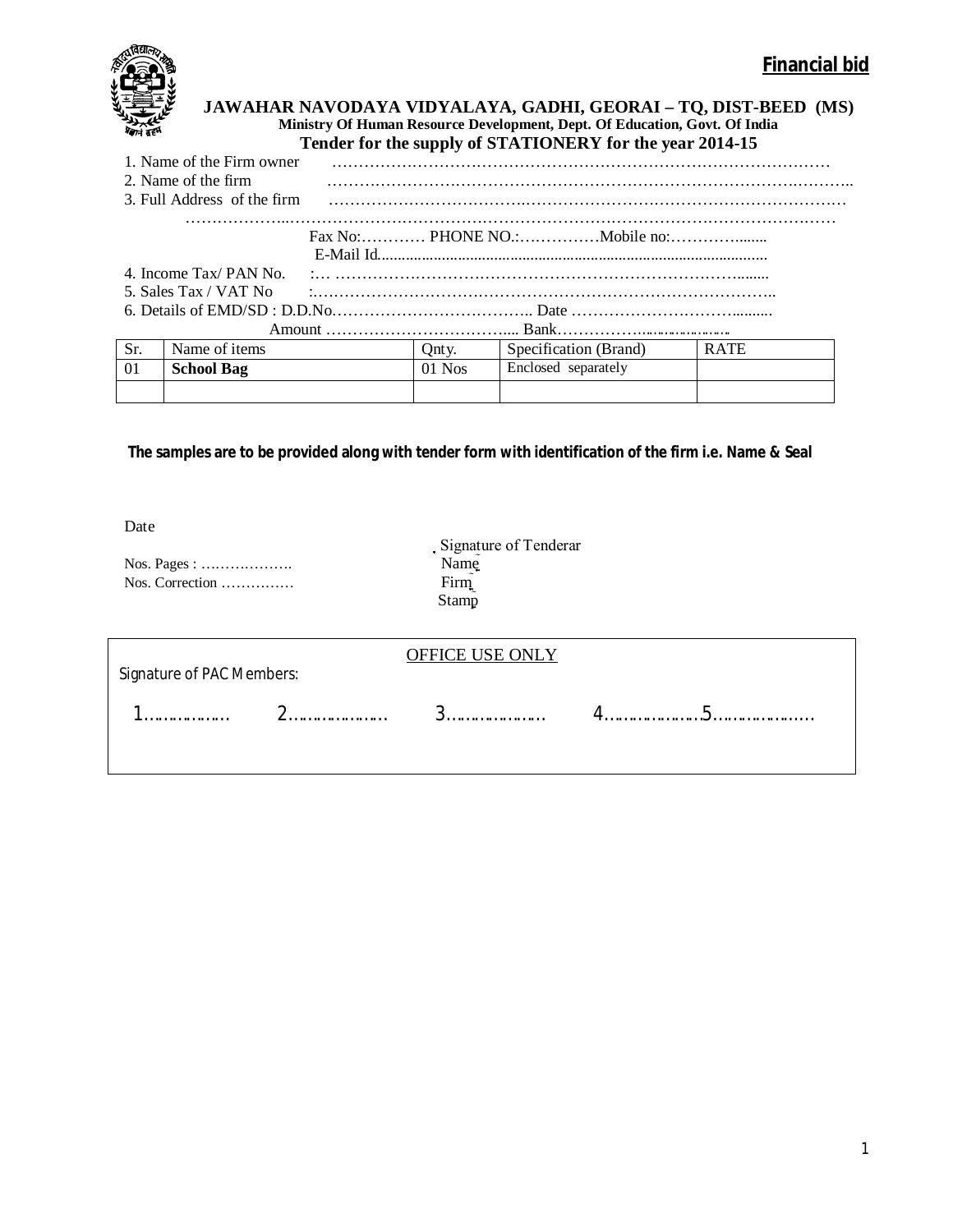

|                     |                             |  |          | Ministry Of Human Resource Development, Dept. Of Education, Govt. Of India | JAWAHAR NAVODAYA VIDYALAYA, GADHI, GEORAI – TQ, DIST-BEED (MS) |  |  |  |
|---------------------|-----------------------------|--|----------|----------------------------------------------------------------------------|----------------------------------------------------------------|--|--|--|
|                     |                             |  |          | Tender for the supply of STATIONERY for the year 2014-15                   |                                                                |  |  |  |
|                     | 1. Name of the Firm owner   |  |          |                                                                            |                                                                |  |  |  |
| 2. Name of the firm |                             |  |          |                                                                            |                                                                |  |  |  |
|                     | 3. Full Address of the firm |  |          |                                                                            |                                                                |  |  |  |
|                     |                             |  |          |                                                                            |                                                                |  |  |  |
|                     |                             |  |          |                                                                            |                                                                |  |  |  |
|                     |                             |  |          |                                                                            |                                                                |  |  |  |
|                     | 4. Income Tax/PAN No.       |  |          |                                                                            |                                                                |  |  |  |
|                     | 5. Sales Tax / VAT No       |  |          |                                                                            |                                                                |  |  |  |
|                     |                             |  |          |                                                                            |                                                                |  |  |  |
|                     |                             |  |          |                                                                            |                                                                |  |  |  |
| Sr.                 | Name of items               |  | Qnty.    | Specification (Brand)                                                      | <b>RATE</b>                                                    |  |  |  |
| 01                  | <b>School Bag</b>           |  | $01$ Nos | Enclosed separately                                                        |                                                                |  |  |  |
|                     |                             |  |          |                                                                            |                                                                |  |  |  |

## **The samples are to be provided along with tender form with identification of the firm i.e. Name & Seal**

Date

| $Nos. Pages: \ldots$<br>Nos. Correction $\ldots$ | Signature of Tenderar<br>Name <sub>.</sub><br><b>Firm</b><br>Stamp |
|--------------------------------------------------|--------------------------------------------------------------------|
| Signature of PAC Members:                        | <b>OFFICE USE ONLY</b>                                             |

|                           | 'E USE ONLY<br>$\triangle$ FFR $\triangle$ |  |
|---------------------------|--------------------------------------------|--|
| Signature of PAC Members: |                                            |  |
|                           |                                            |  |
| .                         | ________________________                   |  |
|                           |                                            |  |
|                           |                                            |  |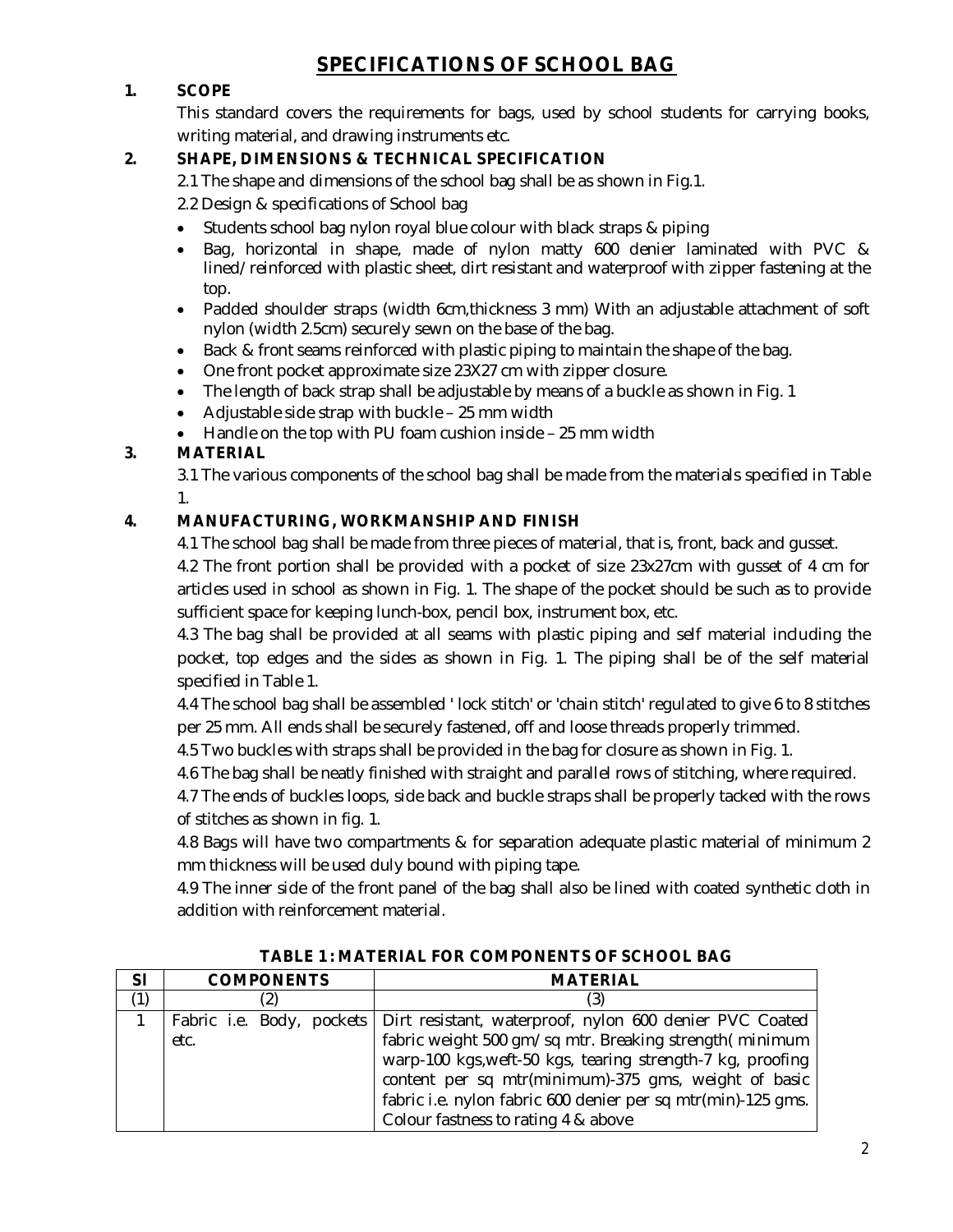# **SPECIFICATIONS OF SCHOOL BAG**

## **1. SCOPE**

This standard covers the requirements for bags, used by school students for carrying books, writing material, and drawing instruments etc.

## **2. SHAPE, DIMENSIONS & TECHNICAL SPECIFICATION**

2.1 The shape and dimensions of the school bag shall be as shown in Fig.1.

2.2 Design & specifications of School bag

- Students school bag nylon royal blue colour with black straps & piping
- Bag, horizontal in shape, made of nylon matty 600 denier laminated with PVC & lined/reinforced with plastic sheet, dirt resistant and waterproof with zipper fastening at the top.
- Padded shoulder straps (width 6cm,thickness 3 mm) With an adjustable attachment of soft nylon (width 2.5cm) securely sewn on the base of the bag.
- Back & front seams reinforced with plastic piping to maintain the shape of the bag.
- One front pocket approximate size 23X27 cm with zipper closure.
- The length of back strap shall be adjustable by means of a buckle as shown in Fig. 1
- Adjustable side strap with buckle 25 mm width
- Handle on the top with PU foam cushion inside 25 mm width

#### **3. MATERIAL**

3.1 The various components of the school bag shall be made from the materials specified in Table 1.

#### **4. MANUFACTURING, WORKMANSHIP AND FINISH**

4.1 The school bag shall be made from three pieces of material, that is, front, back and gusset.

4.2 The front portion shall be provided with a pocket of size 23x27cm with gusset of 4 cm for articles used in school as shown in Fig. 1. The shape of the pocket should be such as to provide sufficient space for keeping lunch-box, pencil box, instrument box, etc.

4.3 The bag shall be provided at all seams with plastic piping and self material including the pocket, top edges and the sides as shown in Fig. 1. The piping shall be of the self material specified in Table 1.

4.4 The school bag shall be assembled ' lock stitch' or 'chain stitch' regulated to give 6 to 8 stitches per 25 mm. All ends shall be securely fastened, off and loose threads properly trimmed.

4.5 Two buckles with straps shall be provided in the bag for closure as shown in Fig. 1.

4.6 The bag shall be neatly finished with straight and parallel rows of stitching, where required.

4.7 The ends of buckles loops, side back and buckle straps shall be properly tacked with the rows of stitches as shown in fig. 1.

4.8 Bags will have two compartments & for separation adequate plastic material of minimum 2 mm thickness will be used duly bound with piping tape.

4.9 The inner side of the front panel of the bag shall also be lined with coated synthetic cloth in addition with reinforcement material.

| <b>SI</b> | <b>COMPONENTS</b>         |    |  | <b>MATERIAL</b>                                              |
|-----------|---------------------------|----|--|--------------------------------------------------------------|
| (1)       |                           | 2) |  | (3)                                                          |
|           | Fabric i.e. Body, pockets |    |  | Dirt resistant, waterproof, nylon 600 denier PVC Coated      |
|           | etc.                      |    |  | fabric weight 500 gm/sq mtr. Breaking strength(minimum       |
|           |                           |    |  | warp-100 kgs, weft-50 kgs, tearing strength-7 kg, proofing   |
|           |                           |    |  | content per sq mtr(minimum)-375 gms, weight of basic         |
|           |                           |    |  | fabric i.e. nylon fabric 600 denier per sq mtr(min)-125 gms. |
|           |                           |    |  | Colour fastness to rating 4 & above                          |

**TABLE 1 : MATERIAL FOR COMPONENTS OF SCHOOL BAG**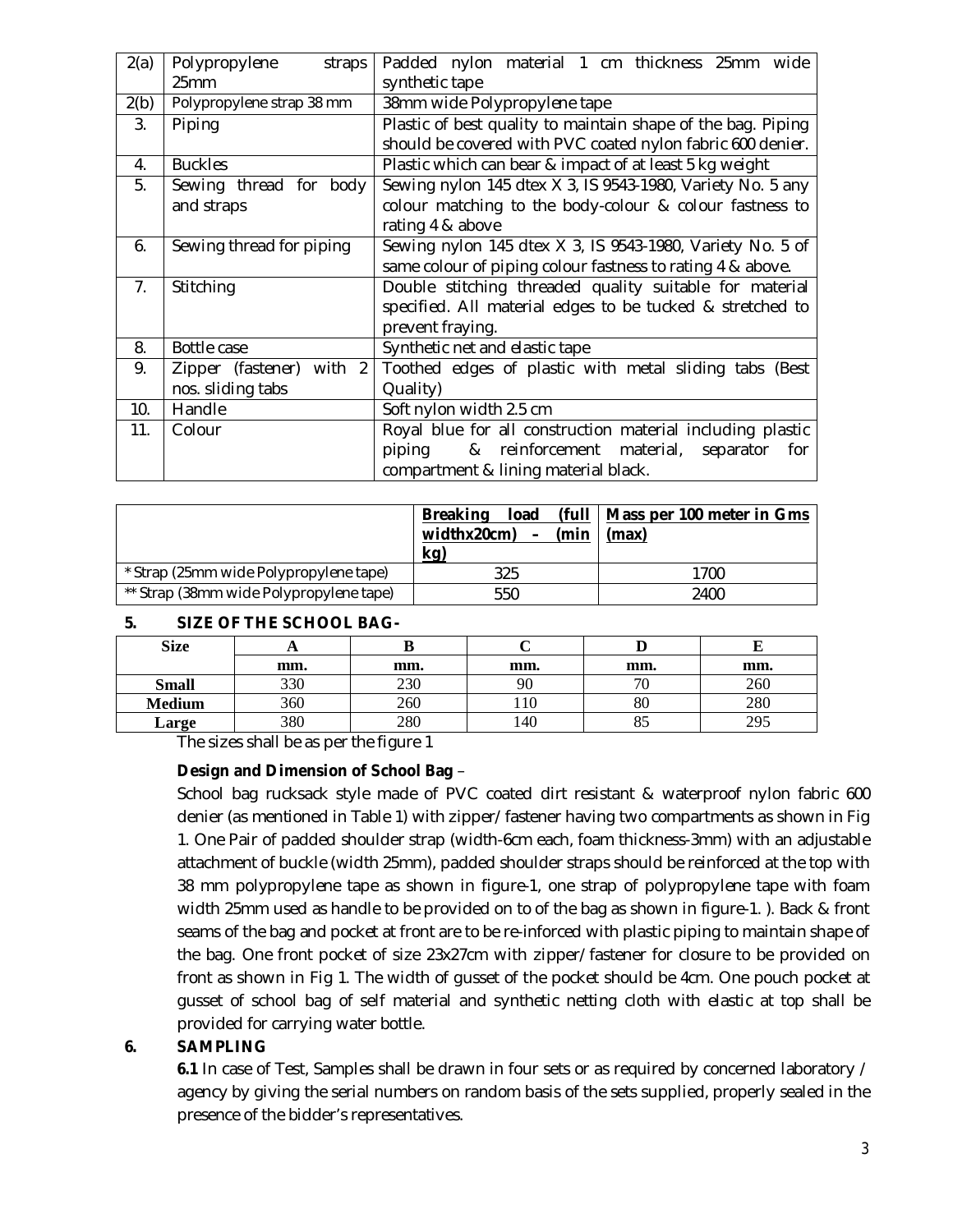| 2(a) | Polypropylene<br>straps                                                               | Padded nylon material 1 cm thickness 25mm wide               |  |  |  |  |
|------|---------------------------------------------------------------------------------------|--------------------------------------------------------------|--|--|--|--|
|      | 25mm                                                                                  | synthetic tape                                               |  |  |  |  |
| 2(b) | Polypropylene strap 38 mm                                                             | 38mm wide Polypropylene tape                                 |  |  |  |  |
| 3.   | Piping                                                                                | Plastic of best quality to maintain shape of the bag. Piping |  |  |  |  |
|      |                                                                                       | should be covered with PVC coated nylon fabric 600 denier.   |  |  |  |  |
| 4.   | <b>Buckles</b>                                                                        | Plastic which can bear & impact of at least 5 kg weight      |  |  |  |  |
| 5.   | Sewing thread for body                                                                | Sewing nylon 145 dtex X 3, IS 9543-1980, Variety No. 5 any   |  |  |  |  |
|      | and straps                                                                            | colour matching to the body-colour & colour fastness to      |  |  |  |  |
|      | rating 4 & above                                                                      |                                                              |  |  |  |  |
| 6.   | Sewing nylon 145 dtex X 3, IS 9543-1980, Variety No. 5 of<br>Sewing thread for piping |                                                              |  |  |  |  |
|      | same colour of piping colour fastness to rating 4 & above.                            |                                                              |  |  |  |  |
| 7.   | Stitching                                                                             | Double stitching threaded quality suitable for material      |  |  |  |  |
|      | specified. All material edges to be tucked & stretched to                             |                                                              |  |  |  |  |
|      |                                                                                       | prevent fraying.                                             |  |  |  |  |
| 8.   | Bottle case                                                                           | Synthetic net and elastic tape                               |  |  |  |  |
| 9.   | Zipper (fastener) with 2                                                              | Toothed edges of plastic with metal sliding tabs (Best       |  |  |  |  |
|      | nos. sliding tabs                                                                     | Quality)                                                     |  |  |  |  |
| 10.  | Handle                                                                                | Soft nylon width 2.5 cm                                      |  |  |  |  |
| 11.  | Colour                                                                                | Royal blue for all construction material including plastic   |  |  |  |  |
|      |                                                                                       | & reinforcement material,<br>piping<br>separator<br>for      |  |  |  |  |
|      |                                                                                       | compartment & lining material black.                         |  |  |  |  |

|                                         | load<br><b>Breaking</b><br>widthx20cm)<br>(min<br>$\overline{\phantom{0}}$<br><u>kg)</u> | (full   Mass per 100 meter in Gms)<br>(max) |
|-----------------------------------------|------------------------------------------------------------------------------------------|---------------------------------------------|
| * Strap (25mm wide Polypropylene tape)  | 325                                                                                      | 1700                                        |
| ** Strap (38mm wide Polypropylene tape) | 550                                                                                      | 2400                                        |

#### **5. SIZE OF THE SCHOOL BAG-**

| <b>Size</b>   |     |     |     |     |            |
|---------------|-----|-----|-----|-----|------------|
|               | mm. | mm. | mm. | mm. | mm.        |
| <b>Small</b>  | 330 | 230 |     |     | 260        |
| <b>Medium</b> | 360 | 260 | 10  | 80  | 280        |
| Large         | 380 | 280 | .40 | റാ  | າດ<<br>ر ر |

The sizes shall be as per the figure 1

#### **Design and Dimension of School Bag** –

School bag rucksack style made of PVC coated dirt resistant & waterproof nylon fabric 600 denier (as mentioned in Table 1) with zipper/fastener having two compartments as shown in Fig 1. One Pair of padded shoulder strap (width-6cm each, foam thickness-3mm) with an adjustable attachment of buckle (width 25mm), padded shoulder straps should be reinforced at the top with 38 mm polypropylene tape as shown in figure-1, one strap of polypropylene tape with foam width 25mm used as handle to be provided on to of the bag as shown in figure-1. ). Back & front seams of the bag and pocket at front are to be re-inforced with plastic piping to maintain shape of the bag. One front pocket of size 23x27cm with zipper/fastener for closure to be provided on front as shown in Fig 1. The width of gusset of the pocket should be 4cm. One pouch pocket at gusset of school bag of self material and synthetic netting cloth with elastic at top shall be provided for carrying water bottle.

#### **6. SAMPLING**

**6.1** In case of Test, Samples shall be drawn in four sets or as required by concerned laboratory / agency by giving the serial numbers on random basis of the sets supplied, properly sealed in the presence of the bidder's representatives.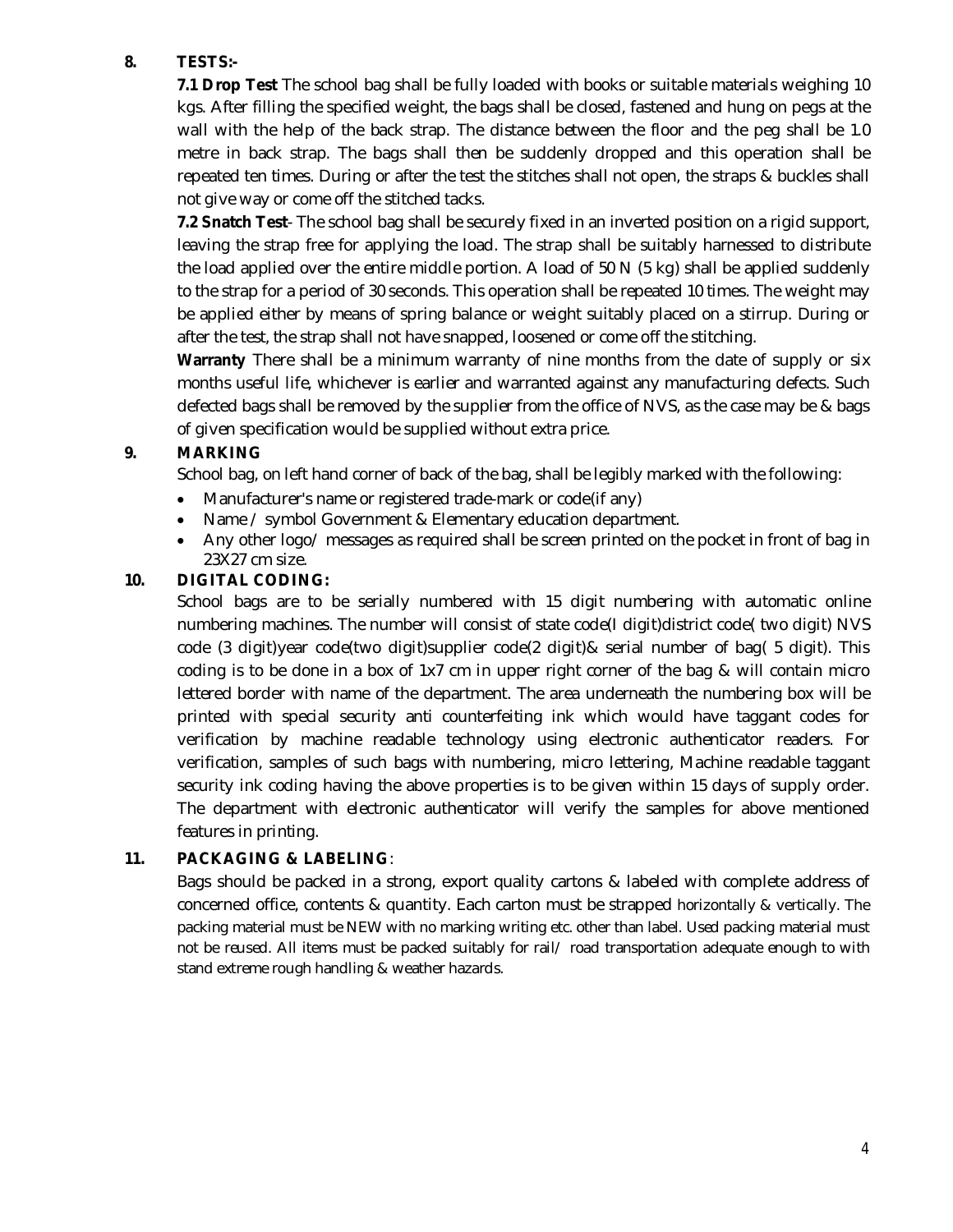## **8. TESTS:-**

**7.1 Drop Test** The school bag shall be fully loaded with books or suitable materials weighing 10 kgs. After filling the specified weight, the bags shall be closed, fastened and hung on pegs at the wall with the help of the back strap. The distance between the floor and the peg shall be 1.0 metre in back strap. The bags shall then be suddenly dropped and this operation shall be repeated ten times. During or after the test the stitches shall not open, the straps & buckles shall not give way or come off the stitched tacks.

**7.2 Snatch Test**- The school bag shall be securely fixed in an inverted position on a rigid support, leaving the strap free for applying the load. The strap shall be suitably harnessed to distribute the load applied over the entire middle portion. A load of 50 N (5 kg) shall be applied suddenly to the strap for a period of 30 seconds. This operation shall be repeated 10 times. The weight may be applied either by means of spring balance or weight suitably placed on a stirrup. During or after the test, the strap shall not have snapped, loosened or come off the stitching.

**Warranty** There shall be a minimum warranty of nine months from the date of supply or six months useful life, whichever is earlier and warranted against any manufacturing defects. Such defected bags shall be removed by the supplier from the office of NVS, as the case may be & bags of given specification would be supplied without extra price.

## **9. MARKING**

School bag, on left hand corner of back of the bag, shall be legibly marked with the following:

- Manufacturer's name or registered trade-mark or code(if any)
- Name / symbol Government & Elementary education department.
- Any other logo/ messages as required shall be screen printed on the pocket in front of bag in 23X27 cm size.

## **10. DIGITAL CODING:**

School bags are to be serially numbered with 15 digit numbering with automatic online numbering machines. The number will consist of state code(I digit)district code( two digit) NVS code (3 digit)year code(two digit)supplier code(2 digit)& serial number of bag( 5 digit). This coding is to be done in a box of 1x7 cm in upper right corner of the bag & will contain micro lettered border with name of the department. The area underneath the numbering box will be printed with special security anti counterfeiting ink which would have taggant codes for verification by machine readable technology using electronic authenticator readers. For verification, samples of such bags with numbering, micro lettering, Machine readable taggant security ink coding having the above properties is to be given within 15 days of supply order. The department with electronic authenticator will verify the samples for above mentioned features in printing.

#### **11. PACKAGING & LABELING**:

Bags should be packed in a strong, export quality cartons & labeled with complete address of concerned office, contents & quantity. Each carton must be strapped horizontally & vertically. The packing material must be NEW with no marking writing etc. other than label. Used packing material must not be reused. All items must be packed suitably for rail/ road transportation adequate enough to with stand extreme rough handling & weather hazards.